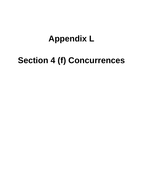## **Appendix L**

# **Section 4 (f) Concurrences**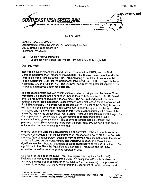

#### April 22, 2009

John R. Pope, Jr., Director Department of Parks, Recreation, & Community Facilities 900 E. Broad Street, Room 407 Richmond, VA 23219

RE: Section 4(f) Coordination Southeast High Speed Rail Project, Richmond, VA, to Raleigh, NC

Dear Mr. Pope,

The Virginia Department of Rail and Public Transportation (DRPT) and the North Carolina Department of Transportation (NCDOT) Rail Division, in cooperation with the Federal Railroad Administration (FRA), are preparing a Tier II Draft Environmental Impact Statement (DEIS) for the Southeast High Speed Rail (SEHSR) project between Richmond, VA, and Raleigh, NC. The DEIS will document the potential impacts of the proposed alternatives under consideration.

The proposed project involves construction of a new rail bridge over the James River, immediately adjacent to the existing rail bridge located between the South 14th Street and I-95 roadway bridges (see attached map). The new rail bridge will provide an additional track that is necessary to accommodate the high speed trains associated with the SEHSR project. The bridge will be located just to the east of the existing bridge and will require a small amount of right of way (ROW) under the span of the bridge to allow for access and maintenance. Included in this ROW is approximately 0.03 acres of the Slave Trail within the James River Park System. Although detailed structural designs for the project are not yet complete, we are committed to ensuring that the trail is maintained in its current integrity. The existing rail bridge has daily freight and passenger rail traffic that can be heard from the trail; therefore, the new bridge should not alter the character or setting of the trail.

Preparation of the DEIS includes addressing all potential involvements with resources protected by Section 4(f) of the Department of Transportation Act of 1966. Section 4(f) prevents federal transportation agencies from approving projects that require the use of public parks, recreation areas, wildlife and waterfowl refuges, or lands of historic significance unless there is no feasible or prudent alternative to the use of that land. As a public park, the Slave Trail qualifies as a Section 4(f) resource and the ROW acquisition would be considered a transportation use.

As a result of the use of the Slave Trail, FRA regulations require a Section 4(f) Evaluation be conducted as part of the DEIS. An exception to this rule is when the impact to the resource is considered to be minimal (i.e., de minimis). The purpose of this letter is to request that the City of Richmond Department of Parks, Recreation, &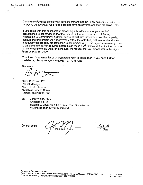Community Facilities concur with our assessment that the ROW acquisition under the proposed James River rail bridge does not have an adverse effect on the Slave Trail.

If you agree with this assessment, please sign this document at your earliest convenience to acknowledge that the City of Richmond Department of Parks, Recreation, & Community Facilities, as the official with jurisdiction over the property, concurs that the project will not adversely affect the activities, features, and attributes that qualify the property for protection under Section 4(f). This signed acknowledgement is an element that FRA requires before it can make a de minimis determination. In order for us to complete the DEIS on schedule, we request that you please return the signed letter by May 15, 2009.

Thank you in advance for your prompt attention to this matter. If you need further assistance, please contact me at 919-733-7245 x266.

Sincerely,

 $\mathbb{Z}/\mathbb{Z}$ 

David B. Foster, PE Project Manager **NCDOT Rail Division** 1553 Mail Service Center Raleigh, NC 27699-1553

CC: John Winkle, FRA Christine Fix, DRPT Delores L. McQuinn, Chair, Slave Trail Commission Viktoria Badger, City of Richmond

Concurrence:

Resourcé Owner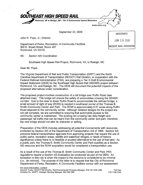

September 22, 2009

John R. Pope, Jr., Director

Department of Parks, Recreation, & Community Facilities 900 E. Broad Street, Room 407 Richmond, VA 23219

**RECEIVED** JAN 15 2010 NCDOT RAIL DIVISION

RE: Section 4(f) Coordination

Southeast High Speed Rail Project, Richmond, VA, to Raleigh, NC

Dear Mr. Pope,

The Virginia Department of Rail and Public Transportation (DRPT) and the North Carolina Department of Transportation (NCDOT) Rail Division, in cooperation with the Federal Railroad Administration (FRA), are preparing a Tier II Draft Environmental Impact Statement (DEIS) for the Southeast High Speed Rail (SEHSR) project between Richmond, VA, and Raleigh, NC. The DEIS will document the potential impacts of the proposed alternatives under consideration.

The proposed project involves construction of a rail bridge over Ruffin Road (see attached map). This bridge will ensure the safety of automobiles crossing the SEHSR corridor. Due to the need to lower Ruffin Road to accommodate the railroad bridge, a small amount of right of way (ROW) is needed in southwest corner of the Thomas B. Smith Community Center and Park. The ROW is approximately 0.07 acres along Ruffin Road adjacent to the community center. Although detailed designs for the project are not yet complete, we are committed to ensuring that automobile access to the community center is maintained. The existing rail crossing has daily freight and passenger rail traffic that can be heard from the community center and park; therefore, the new bridge should not alter its character or setting.

Preparation of the DEIS includes addressing all potential involvements with resources protected by Section 4(f) of the Department of Transportation Act of 1966. Section 4(f) prevents federal transportation agencies from approving projects that require the use of public parks, recreation areas, wildlife and waterfowl refuges, or lands of historic significance unless there is no feasible or prudent alternative to the use of that land. As a public park, the Thomas B. Smith Community Center and Park qualifies as a Section 4(f) resource and the ROW acquisition would be considered a transportation use.

As a result of the use of the Thomas B. Smith Community Center and Park, FRA requilations require a Section 4(f) Evaluation be conducted as part of the DEIS. An exception to this rule is when the impact to the resource is considered to be minimal (i.e., de minimis). The purpose of this letter is to request that the City of Richmond Department of Parks, Recreation, & Community Facilities concur with our assessment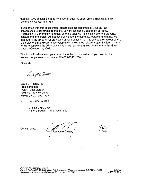that the ROW acquisition does not have an adverse effect on the Thomas B. Smith Community Center and Park.

If you agree with this assessment, please sign this document at your earliest convenience to acknowledge that the City of Richmond Department of Parks. Recreation, & Community Facilities, as the official with jurisdiction over the property, concurs that the project will not adversely affect the activities, features, and attributes that qualify the property for protection under Section 4(f). This signed acknowledgement is an element that FRA requires before it can make a de minimis determination. In order for us to complete the DEIS on schedule, we request that you please return the signed letter by October 15, 2009.

Thank you in advance for your prompt attention to this matter. If you need further assistance, please contact me at 919-733-7245 x266.

Sincerely.

PR Justin

David B. Foster, PE **Project Manager NCDOT Rail Division** 1553 Mail Service Center Raleigh, NC 27699-1553

cc: John Winkle, FRA

> Christine Fix, DRPT Viktoria Badger, City of Richmond

Concurrence:

Resource Owner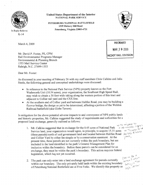

In Reply Refer to:  $K-14$ 

March 4, 2009

**United States Department of the Interior NATIONAL PARK SERVICE** 

PETERSBURG NATIONAL BATTLEFIELD 1539 Hickory Hill Road Petersburg, Virginia 23803-4721



**RECEIVED** MAR 10 2009 **NCDOT RAIL DIVISION** 

Mr. David P. Foster, PE, CPM Rail Environmental Programs Manager Environmental & Planning Branch 1553 Mail Service Center Raleigh, N.C. 27699-1553

Dear Mr. Foster:

As discussed in your meeting of February 26 with my staff members Chris Calkins and Julia Steele, the following general and conceptual undertakings were discussed:

- In reference to the National Park Service (NPS) property known as the Fort Wadsworth Unit (10.54 acres), your organization, the Southeast High Speed Rail, may wish to obtain a 30 foot wide taking along the western portion of this tract and adjacent to Collier rail yard and the CSX line.
- At the southern end of Collier yard and between Halifax Road, you may be building a flyover bridge, the design as yet to be determined, affecting a portion of the Weldon Railroad battlefield (aka Globe Tavern).

In mitigation for the above potential adverse impacts to and conveyance of NPS public lands and historic properties, Mr. Calkins suggested the study of requirements and authorities for a proposed land exchange, generally outlined as follows: + To more 99727

- A AD ADVERSE 1. Mr. Calkins suggested that in exchange for the 0.45 acres of National Park ON TOYOUGH AF YA Service land, your organization would agree, in principle, to acquire 15.31 acres (three parcels) north of said government land and located between Halifax Road 50. Exp. of Collins yme, and Collier Yard by either fee simple or by a conservation easement. At the present time, these parcels are not currently within the park boundary, but are included in the land identified in the park's General Management Plan for inclusion within the boundary. Before these parcels can be considered for an exchange, they must be within the park's boundary. This action requires federal legislation, which has not yet occurred. Ond  $\vec{\nu}$   $\approx$
- 2. The park can only enter into a land exchange agreement for parcels currently within our boundary. The only privately held lands within the existing boundary of Petersburg National Battlefield are at Five Forks. We identify this property as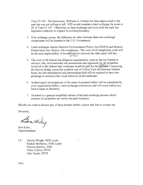Tract 07-107. The landowner, Williams A. Parham has been approached in the past but was not willing to sell. NPS would consider a land exchange for some or all of Tract 07-107. Otherwise, no land exchange can occur until the park has legislative authority to expand its existing boundary.

- 3. If an exchange occurs, the difference in value between these two exchange components will be donated to the U.S. Government.
- 4. Land exchanges require National Environmental Policy Act (NEPA) and Historic Preservation Act, Section 106 compliance. The costs of all compliance work will be the sole responsibility of the railroad (or whoever the other party will be). らくへんじょう
- 5. The costs of all federal due diligence requirements, such as, but not limited to surveys, title, environmental site assessments and appraisals for all properties involved in this federal land exchange would be paid by the failfoad. Concerning the flyover bridge across the southern end of Collier Yard and between Halifax Road, the dirt embankment and surrounding field will be required to have tree plantings to minimize the visual intrusion on the landscape.
- 6. Archeological investigations of the areas of potential effect will be completed by your organization before a land exchange commences and will occur before any land is taken or disturbed.

k.

7. Attached is a general simplified outline of the land exchange process which assumes all properties are within the park boundary.

Should you wish to discuss any of these matters further, please feel free to contact me.

Sincerely,

Boataly

Bob Kirby Superintendent

 $CC:$ Harriet Wright, NER Lands Rachel McManus, NER Lands Patricia Bentley, NER Chris Calkins, PETE Julie Steele, PETE

Encl.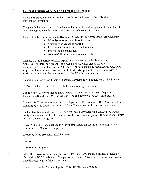## **General Outline of NPS Land Exchange Process**

Exchanges are authorized under the L&WCF Act and often by the individual park establishing legislation.

Comparable Parcels to be identified and obtain/draft legal descriptions of each. Parcels must be approx. equal in value or will require cash payment to equalize.

Justification Memo from Supt to Regional Director for approval of the land exchange.

- Must demonstrate benefit to the USA
- Suitability of exchange parcels
- List any special resource considerations
- Interests to be exchanged
- Analysis/effect on local taxing authority

Request DOI to appraise parcels. Appraisals must comply with federal Uniform Appraisal Standards for Federal Land Acquisitions, which can be found at www.usdoj.gov/enrd/land-ack/yb2001.pdf. Appraisals must be requested through DOI Appraisal Services Directorate and/or all third party appraisals must comply with SO 3258, which includes the requirement that the USA is the sole client.

Prepare preliminary non-binding Exchange Agreement/NPS& non-federal land owner.

NEPA compliance EA or EIS to include land exchange transaction.

Contract for Title work and obtain title opinion for acquisition parcel, Department of Justice Title Standards, 2001, which can be found at www.usdoi.gov/enrd/title.htm.

Contract for Haz-mat Assessment for both parcels. Environmental Site Assessment in compliance with Secretarial Order 3127 and Department of the Interior guidelines.

Publish Notification of Realty Action in the local newspaper for 3 consecutive weeks notify abutters and public officials. Allow 45 day comment period. If controversial must publish in Federal Register.

If over \$500,000, send package to Washington Lands for submittal to appropriations committee for 30 day review period.

Prepare Offer to Exchange Real Property.

Prepare Deeds.

Prepare Closing package.

All of the above, with the exception of NEPA/106 Compliance, is guided/directed or obtained by NPS Lands staff. Completion will take 1-2 years when there are no serious impediments to any of the above steps.

Contact: Rachel McManus, Deputy Realty Officer, 978-970-5260.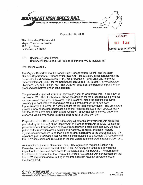

September 17, 2009

The Honorable Willis Woodall Mayor, Town of La Crosse 126 High Street La Crosse, VA 23950

| <b>RECEIVED</b>             |  |
|-----------------------------|--|
| 5 2009<br>$0C$ <sup>T</sup> |  |
| NCDOT RAIL DIVISION         |  |

RE: Section 4(f) Coordination Southeast High Speed Rail Project, Richmond, VA, to Raleigh, NC

Dear Mayor Woodall,

The Virginia Department of Rail and Public Transportation (DRPT) and the North Carolina Department of Transportation (NCDOT) Rail Division, in cooperation with the Federal Railroad Administration (FRA), are preparing a Tier II Draft Environmental Impact Statement (DEIS) for the Southeast High Speed Rail (SEHSR) project between Richmond, VA, and Raleigh, NC. The DEIS will document the potential impacts of the proposed alternatives under consideration.

The proposed project will return rail service adjacent to Centennial Park in the Town of La Crosse, VA. The attached map shows the designs for the proposed rail alignments and associated road work in this area. The project will close the existing pedestrian crossing just east of the park and also require a small amount of right of way (approximately 0.06 acres) to accommodate the railroad improvements. The project will provide a new pedestrian underpass along the Tobacco Heritage Trail, approximately 300 feet to the north along Main Street, which will allow trail users to cross under the proposed rail alignment and rejoin the existing rails-to-trails corridor.

Preparation of the DEIS includes addressing all potential involvements with resources protected by Section 4(f) of the Department of Transportation Act of 1966. Section 4(f) prevents federal transportation agencies from approving projects that require the use of public parks, recreation areas, wildlife and waterfowl refuges, or lands of historic significance unless there is no feasible or prudent alternative to the use of that land. As a planned public recreation trail, Centennial Park qualifies as a Section 4(f) resource and the ROW acquisition and re-routing of the trail would be considered a transportation use.

As a result of the use of Centennial Park, FRA regulations require a Section 4(f) Evaluation be conducted as part of the DEIS. An exception to this rule is when the impact to the resource is considered to be minimal (i.e., de minimis). The purpose of this letter is to request that the Town of La Crosse, VA, concur with our assessment that the ROW acquisition and re-routing of the trail does not have an adverse effect on Centennial Park.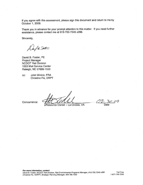If you agree with this assessment, please sign this document and return to me by October 1, 2009.

Thank you in advance for your prompt attention to this matter. If you need further assistance, please contact me at 919-733-7245 x266.

Sincerely,

R Jost

David B. Foster, PE **Project Manager NCDOT Rail Division** 1553 Mail Service Center Raleigh, NC 27699-1553

John Winkle, FRA CC. Christine Fix, DRPT

Aesource Owner - La Crosse, VA Date

Concurrence: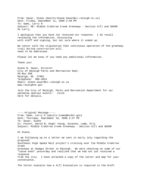From: Sauer, Diane [mailto:Diane.Sauer@ci.raleigh.nc.us] Sent: Friday, September 11, 2009 2:48 PM To: Sams, Larry H Subject: RE: Middle Crabtree Creek Greenway - Section 4(f) and SEHSR Hi Larry, I apologize that you have not received our response. I do recall reviewing the information, discussing with staff and signing, but not sure where it ended up. We concur with the stipulation that continuous operation of the greenway trail during construction will need to be addressed. Please let me know if you need any additional information. Thank you! Diane B. Sauer, Director City of Raleigh Parks and Recreation Dept. PO Box 590 Raleigh, NC 27602 Telephone: 996-4815 Email: diane.sauer@ci.raleigh.nc.us www.raleighnc.gov Join the City of Raleigh, Parks and Recreation Department for our upcoming special events! Click here for details. -----Original Message----- From: Sams, Larry H [mailto:lsams@ncdot.gov] Sent: Thursday, September 10, 2009 2:37 PM To: Sauer, Diane Cc: Foster, David B; Unger Young, Suzanne; Lamb, Eric Subject: Middle Crabtree Creek Greenway - Section 4(f) and SEHSR Hi Diane, I am following up on a letter we sent in early July regarding the proposed Southeast High Speed Rail project's crossing over the Middle Crabtree Creek Greenway at Hodges Street in Raleigh. We were checking on some of our "loose ends" yesterday and realized that we had not yet received a response from the city. I have attached a copy of the letter and map for your convenience. The letter explains how a 4(f) Evaluation is required in the Draft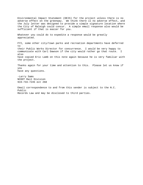Environmental Impact Statement (DEIS) for the project unless there is no adverse effect on the greenway. We think there is no adverse effect, and the July letter was designed to provide a simple signature location where the City of Raleigh could concur. A simple email response also would be sufficient if that is easier for you. Whatever you could do to expedite a response would be greatly appreciated. FYI, some other city/town parks and recreation departments have deferred to their Public Works Director for concurrence. I would be very happy to communicate with Carl Dawson if the city would rather go that route. I also have copied Eric Lamb on this note again because he is very familiar with the project. Thanks again for your time and attention to this. Please let us know if you have any questions. -Larry Sams

NCDOT Rail Division 919-733-7245 ext 268

Email correspondence to and from this sender is subject to the N.C. Public Records Law and may be disclosed to third parties.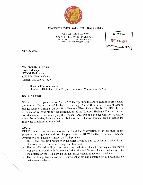

ROANOKE RIVER RAILS-TO-TRAILS, INC.

POST OFFICE BOX 150 SOUTH HILL, VIRGINIA 23970 434-447-7101 434-447-7104 (FAX) www.tobaccoheritagetrail.org

**RECEIVED** MAY 26 2009 **NCDOT RAIL DIVISION** 

May 18, 2009

Mr. David B. Foster, PE Project Manager **NCDOT Rail Division** 1553 Mail Service Center Raleigh, NC 27699-1553

Section 4(f) Coordination  $RE:$ Southeast High Speed Rail Project, Richmond, VA to Raleigh, NC

Dear Mr. Foster:

We have received your letter of April 22, 2009 regarding the above-captioned project and the impact of its crossing of the Tobacco Heritage Trail (THT) in the Towns of Alberta and La Crosse, Virginia. On behalf of Roanoke River Rails to Trails, Inc. (RRRT), the organization responsible for the coordination of the Tobacco Heritage Trail and a trail corridor owner, I am conveying their concurrence that the project will not adversely affect the activities, features, and attributes of the Tobacco Heritage Trail provided the following conditions are satisfied.

## *Alberta*

RRRT concurs that to accommodate the Trail the construction of an overpass of the proposed rail alignment and use of a portion of the ROW for the relocation of Second Avenue will not adversely impact the Trail provided:

- The replacement trail bridge over the SEHSR will be built to accommodate all forms of non-motorized traffic including equestrian use.
- That an off-road facility to accommodate pedestrian, bicycle, and equestrian traffic  $\Box$ will be constructed with (adjacent to) the relocated Second Avenue, which is to be constructed on the THT corridor on the former VARR in the town of Alberta.
- That the bridge facility will be of sufficient width and construction to accommodate  $\Box$ maintenance vehicles.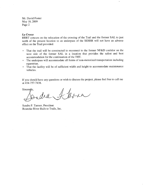Mr. David Foster May 18, 2009 Page 2

#### La Crosse

RRRT concurs on the relocation of the crossing of the Trail and the former SAL to just north of the present location to an underpass of the SEHSR will not have an adverse effect on the Trail provided:

- That the trail will be constructed to reconnect to the former NF&D corridor on the  $\blacksquare$ west side of the former SAL in a location that provides the safest and best accommodation for the continuation of the THT.
- The underpass will accommodate all forms of non-motorized transportation including  $\Box$ equestrian.
- That the facility will be of sufficient width and height to accommodate maintenance  $\blacksquare$ vehicles.

If you should have any questions or wish to discuss the project, please feel free to call me at 434-757-7438.

Sincerety, I kren  $d\mathcal{A}$ 

Sandra F. Tanner, President Roanoke River Rails to Trails, Inc.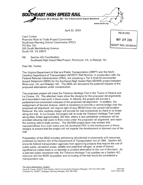

April 22, 2009

Carol Corker Roanoke Rails-to-Trails Project Coordinator Southside Planning District Commission (PDC) PO Box 150 200 South Mecklenburg Avenue South Hill, VA 23970

**RECEIVED** MAY 26 2009 NCDOT RAIL DIVISION

RE: Section 4(f) Coordination Southeast High Speed Rail Project, Richmond, VA, to Raleigh, NC

Dear Ms. Corker,

The Virginia Department of Rail and Public Transportation (DRPT) and the North Carolina Department of Transportation (NCDOT) Rail Division, in cooperation with the Federal Railroad Administration (FRA), are preparing a Tier II Draft Environmental Impact Statement (DEIS) for the Southeast High Speed Rail (SEHSR) project between Richmond, VA, and Raleigh, NC. The DEIS will document the potential impacts of the proposed alternatives under consideration.

The proposed project will cross the Tobacco Heritage Trail in the Towns of Alberta and La Crosse, VA. The attached maps show the designs for the proposed rail alignments and associated road work in these areas. In Alberta, the project will provide a pedestrian/non-motorized overpass of the proposed rail alignment. In addition, the realignment of Second Avenue, which is necessary to provide a vehicle bridge over the proposed rail alignment, will require right of way (ROW) from the current trail location. However, the new roadway design will provide for trail connectivity so there is no break along the trail. In La Crosse, the project will re-route the Tobacco Heritage Trail north along Main Street approximately 300 feet, where a new pedestrian underpass will be provided allowing trail users to then cross under the proposed rail alignment, and rejoin the existing rails-to-trails corridor. The SEHSR project team has worked with representatives from both towns and the Southside PDC in the development of these designs to ensure that the project will not impede the development or planned use of the trail.

Preparation of the DEIS includes addressing all potential involvements with resources protected by Section 4(f) of the Department of Transportation Act of 1966. Section 4(f) prevents federal transportation agencies from approving projects that require the use of public parks, recreation areas, wildlife and waterfowl refuges, or lands of historic significance unless there is no feasible or prudent alternative to the use of that land. As a planned public recreation trail, the Tobacco Heritage Trail qualifies as a Section 4(f) resource and the ROW acquisition and re-routing of the trail would be considered a transportation use.

For more information, contact:

David B. Foster, NCDOT Rail Division, Rail Environmental Programs Manager, 919.733.7245 x266 Christine Fix, VDRPT, Strategic Planning Manager, 804.786.1052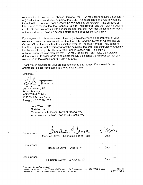As a result of the use of the Tobacco Heritage Trail, FRA regulations require a Section 4(f) Evaluation be conducted as part of the DEIS. An exception to this rule is when the impact to the resource is considered to be minimal (i.e., de minimis). The purpose of this letter is to request that the Roanoke Rails-to-Trails (RRRT) and the Towns of Alberta and La Crosse, VA, concur with our assessment that the ROW acquisition and re-routing of the trail does not have an adverse effect on the Tobacco Heritage Trail.

If you agree with this assessment, please sign this document, as appropriate, at your earliest convenience to acknowledge that the RRRT and the Towns of Alberta and La Crosse, VA, as the officials with jurisdiction over the Tobacco Heritage Trail, concurs that the project will not adversely affect the activities, features, and attributes that qualify the Tobacco Heritage Trail for protection under Section 4(f). This signed acknowledgement is an element that FRA requires before it can make a de minimis determination. In order for us to complete the DEIS on schedule, we request that you please return the signed letter by May 15, 2009.

Thank you in advance for your prompt attention to this matter. If you need further assistance, please contact me at 919-733-7245 x266.

Sincerely,

David B. Foster, PE Project Manager **NCDOT Rail Division** 1553 Mail Service Center Raleigh, NC 27699-1553

John Winkle, FRA CC: Christine Fix, DRPT Melissa Parrish, Mayor, Town of Alberta, VA Willis Woodall, Mayor, Town of La Crosse, VA

Resource Owner - Roanoke Rails-to-Trails

Concurrence:

Concurrence:

Resource Owner - Alberta, VA

Date

Concurrence:

Resource Owner - La Crosse, VA

Date

For more information, contact:

David B. Foster, NCDOT Rail Division, Rail Environmental Programs Manager, 919.733.7245 x266 Christine Fix, VDRPT, Strategic Planning Manager, 804.786.1052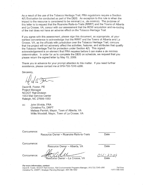As a result of the use of the Tobacco Heritage Trail, FRA regulations require a Section 4(f) Evaluation be conducted as part of the DEIS. An exception to this rule is when the impact to the resource is considered to be minimal (i.e., de minimis). The purpose of this letter is to request that the Roanoke Rails-to-Trails (RRRT) and the Towns of Alberta and La Crosse, VA, concur with our assessment that the ROW acquisition and re-routing of the trail does not have an adverse effect on the Tobacco Heritage Trail.

If you agree with this assessment, please sign this document, as appropriate, at your earliest convenience to acknowledge that the RRRT and the Towns of Alberta and La Crosse, VA, as the officials with jurisdiction over the Tobacco Heritage Trail, concurs that the project will not adversely affect the activities, features, and attributes that qualify the Tobacco Heritage Trail for protection under Section 4(f). This signed acknowledgement is an element that FRA requires before it can make a de minimis determination. In order for us to complete the DEIS on schedule, we request that you please return the signed letter by May 15, 2009.

Thank you in advance for your prompt attention to this matter. If you need further assistance, please contact me at 919-733-7245 x266.

Sincerely,

David B. Foster, PE Project Manager **NCDOT Rail Division** 1553 Mail Service Center Raleigh, NC 27699-1553

John Winkle, FRA CC: Christine Fix, DRPT Melissa Parrish, Mayor, Town of Alberta, VA Willis Woodall, Mayor, Town of La Crosse, VA

Concurrence:

Resource Owner - Roanoke Rails-to-Trails

Date

Concurrence:

Resource Owner - Alberta, VA

Concurrence:

Resource Owner – La Crosse, VA

For more information, contact:

David B. Foster, NCDOT Rail Division, Rail Environmental Programs Manager, 919.733.7245 x266 Christine Fix, VDRPT, Strategic Planning Manager, 804.786.1052

Toll Free 1-877-749-7245

Date